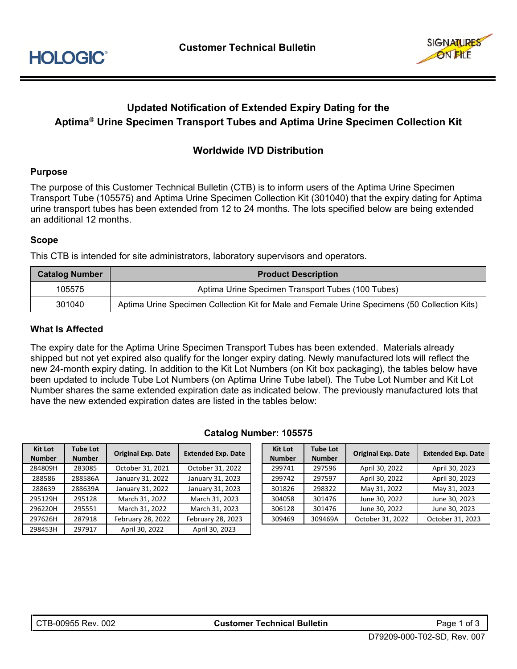

# **Updated Notification of Extended Expiry Dating for the Aptima® Urine Specimen Transport Tubes and Aptima Urine Specimen Collection Kit**

### **Worldwide IVD Distribution**

#### **Purpose**

The purpose of this Customer Technical Bulletin (CTB) is to inform users of the Aptima Urine Specimen Transport Tube (105575) and Aptima Urine Specimen Collection Kit (301040) that the expiry dating for Aptima urine transport tubes has been extended from 12 to 24 months. The lots specified below are being extended an additional 12 months.

#### **Scope**

This CTB is intended for site administrators, laboratory supervisors and operators.

| <b>Catalog Number</b> | <b>Product Description</b>                                                                    |
|-----------------------|-----------------------------------------------------------------------------------------------|
| 105575                | Aptima Urine Specimen Transport Tubes (100 Tubes)                                             |
| 301040                | Aptima Urine Specimen Collection Kit for Male and Female Urine Specimens (50 Collection Kits) |

#### **What Is Affected**

The expiry date for the Aptima Urine Specimen Transport Tubes has been extended. Materials already shipped but not yet expired also qualify for the longer expiry dating. Newly manufactured lots will reflect the new 24-month expiry dating. In addition to the Kit Lot Numbers (on Kit box packaging), the tables below have been updated to include Tube Lot Numbers (on Aptima Urine Tube label). The Tube Lot Number and Kit Lot Number shares the same extended expiration date as indicated below. The previously manufactured lots that have the new extended expiration dates are listed in the tables below:

| <b>Kit Lot</b><br><b>Number</b> | <b>Tube Lot</b><br><b>Number</b> | <b>Original Exp. Date</b> | <b>Extended Exp. Date</b> | <b>Kit Lot</b><br><b>Number</b> | <b>Tube Lot</b><br><b>Number</b> | <b>Original Exp. Date</b> | <b>Extended Exp. D</b> |
|---------------------------------|----------------------------------|---------------------------|---------------------------|---------------------------------|----------------------------------|---------------------------|------------------------|
| 284809H                         | 283085                           | October 31, 2021          | October 31, 2022          | 299741                          | 297596                           | April 30, 2022            | April 30, 2023         |
| 288586                          | 288586A                          | January 31, 2022          | January 31, 2023          | 299742                          | 297597                           | April 30, 2022            | April 30, 2023         |
| 288639                          | 288639A                          | January 31, 2022          | January 31, 2023          | 301826                          | 298322                           | May 31, 2022              | May 31, 2023           |
| 295129H                         | 295128                           | March 31, 2022            | March 31, 2023            | 304058                          | 301476                           | June 30, 2022             | June 30, 2023          |
| 296220H                         | 295551                           | March 31, 2022            | March 31, 2023            | 306128                          | 301476                           | June 30, 2022             | June 30, 2023          |
| 297626H                         | 287918                           | February 28, 2022         | February 28, 2023         | 309469                          | 309469A                          | October 31, 2022          | October 31, 202        |

298453H 297917 April 30, 2022 April 30, 2023

#### **Catalog Number: 105575**

| <b>Kit Lot</b><br><b>Number</b> | <b>Tube Lot</b><br><b>Number</b> | <b>Original Exp. Date</b> | <b>Extended Exp. Date</b> |  |  |
|---------------------------------|----------------------------------|---------------------------|---------------------------|--|--|
| 299741                          | 297596                           | April 30, 2022            | April 30, 2023            |  |  |
| 299742                          | 297597                           | April 30, 2022            | April 30, 2023            |  |  |
| 301826                          | 298322                           | May 31, 2022              | May 31, 2023              |  |  |
| 304058                          | 301476                           | June 30, 2022             | June 30, 2023             |  |  |
| 306128                          | 301476                           | June 30, 2022             | June 30, 2023             |  |  |
| 309469                          | 309469A                          | October 31, 2022          | October 31, 2023          |  |  |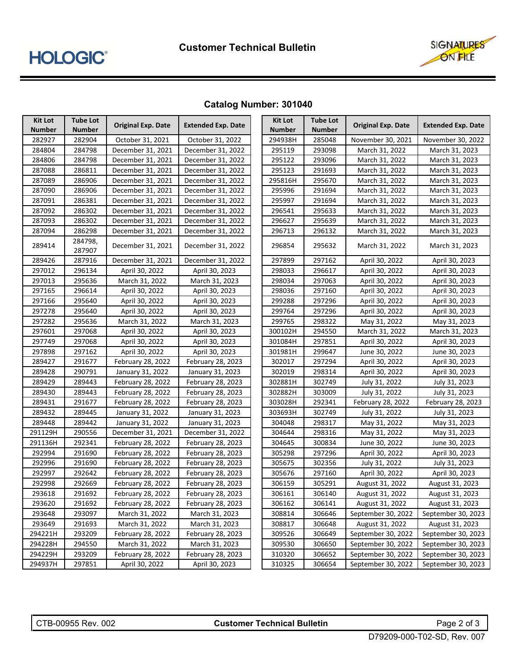

## **Catalog Number: 301040**

| <b>Kit Lot</b> | <b>Tube Lot</b>   | <b>Original Exp. Date</b> | <b>Extended Exp. Date</b> | <b>Kit Lot</b> | <b>Tube Lot</b> | <b>Original Exp. Date</b> | <b>Extended Exp. Date</b> |
|----------------|-------------------|---------------------------|---------------------------|----------------|-----------------|---------------------------|---------------------------|
| <b>Number</b>  | Number            |                           |                           | <b>Number</b>  | <b>Number</b>   |                           |                           |
| 282927         | 282904            | October 31, 2021          | October 31, 2022          | 294938H        | 285048          | November 30, 2021         | November 30, 2022         |
| 284804         | 284798            | December 31, 2021         | December 31, 2022         | 295119         | 293098          | March 31, 2022            | March 31, 2023            |
| 284806         | 284798            | December 31, 2021         | December 31, 2022         | 295122         | 293096          | March 31, 2022            | March 31, 2023            |
| 287088         | 286811            | December 31, 2021         | December 31, 2022         | 295123         | 291693          | March 31, 2022            | March 31, 2023            |
| 287089         | 286906            | December 31, 2021         | December 31, 2022         | 295816H        | 295670          | March 31, 2022            | March 31, 2023            |
| 287090         | 286906            | December 31, 2021         | December 31, 2022         | 295996         | 291694          | March 31, 2022            | March 31, 2023            |
| 287091         | 286381            | December 31, 2021         | December 31, 2022         | 295997         | 291694          | March 31, 2022            | March 31, 2023            |
| 287092         | 286302            | December 31, 2021         | December 31, 2022         | 296541         | 295633          | March 31, 2022            | March 31, 2023            |
| 287093         | 286302            | December 31, 2021         | December 31, 2022         | 296627         | 295639          | March 31, 2022            | March 31, 2023            |
| 287094         | 286298            | December 31, 2021         | December 31, 2022         | 296713         | 296132          | March 31, 2022            | March 31, 2023            |
| 289414         | 284798,<br>287907 | December 31, 2021         | December 31, 2022         | 296854         | 295632          | March 31, 2022            | March 31, 2023            |
| 289426         | 287916            | December 31, 2021         | December 31, 2022         | 297899         | 297162          | April 30, 2022            | April 30, 2023            |
| 297012         | 296134            | April 30, 2022            | April 30, 2023            | 298033         | 296617          | April 30, 2022            | April 30, 2023            |
| 297013         | 295636            | March 31, 2022            | March 31, 2023            | 298034         | 297063          | April 30, 2022            | April 30, 2023            |
| 297165         | 296614            | April 30, 2022            | April 30, 2023            | 298036         | 297160          | April 30, 2022            | April 30, 2023            |
| 297166         | 295640            | April 30, 2022            | April 30, 2023            | 299288         | 297296          | April 30, 2022            | April 30, 2023            |
| 297278         | 295640            | April 30, 2022            | April 30, 2023            | 299764         | 297296          | April 30, 2022            | April 30, 2023            |
| 297282         | 295636            | March 31, 2022            | March 31, 2023            | 299765         | 298322          | May 31, 2022              | May 31, 2023              |
| 297601         | 297068            | April 30, 2022            | April 30, 2023            | 300102H        | 294550          | March 31, 2022            | March 31, 2023            |
| 297749         | 297068            | April 30, 2022            | April 30, 2023            | 301084H        | 297851          | April 30, 2022            | April 30, 2023            |
| 297898         | 297162            | April 30, 2022            | April 30, 2023            | 301981H        | 299647          | June 30, 2022             | June 30, 2023             |
| 289427         | 291677            | February 28, 2022         | February 28, 2023         | 302017         | 297294          | April 30, 2022            | April 30, 2023            |
| 289428         | 290791            | January 31, 2022          | January 31, 2023          | 302019         | 298314          | April 30, 2022            | April 30, 2023            |
| 289429         | 289443            | February 28, 2022         | February 28, 2023         | 302881H        | 302749          | July 31, 2022             | July 31, 2023             |
| 289430         | 289443            | February 28, 2022         | February 28, 2023         | 302882H        | 303009          | July 31, 2022             | July 31, 2023             |
| 289431         | 291677            | February 28, 2022         | February 28, 2023         | 303028H        | 292341          | February 28, 2022         | February 28, 2023         |
| 289432         | 289445            | January 31, 2022          | January 31, 2023          | 303693H        | 302749          | July 31, 2022             | July 31, 2023             |
| 289448         | 289442            | January 31, 2022          | January 31, 2023          | 304048         | 298317          | May 31, 2022              | May 31, 2023              |
| 291129H        | 290556            | December 31, 2021         | December 31, 2022         | 304644         | 298316          | May 31, 2022              | May 31, 2023              |
| 291136H        | 292341            | February 28, 2022         | February 28, 2023         | 304645         | 300834          | June 30, 2022             | June 30, 2023             |
| 292994         | 291690            | February 28, 2022         | February 28, 2023         | 305298         | 297296          | April 30, 2022            | April 30, 2023            |
| 292996         | 291690            | February 28, 2022         | February 28, 2023         | 305675         | 302356          | July 31, 2022             | July 31, 2023             |
| 292997         | 292642            | February 28, 2022         | February 28, 2023         | 305676         | 297160          | April 30, 2022            | April 30, 2023            |
| 292998         | 292669            | February 28, 2022         | February 28, 2023         | 306159         | 305291          | August 31, 2022           | August 31, 2023           |
| 293618         | 291692            | February 28, 2022         | February 28, 2023         | 306161         | 306140          | August 31, 2022           | August 31, 2023           |
| 293620         | 291692            | February 28, 2022         | February 28, 2023         | 306162         | 306141          | August 31, 2022           | August 31, 2023           |
| 293648         | 293097            | March 31, 2022            | March 31, 2023            | 308814         | 306646          | September 30, 2022        | September 30, 2023        |
| 293649         | 291693            | March 31, 2022            | March 31, 2023            | 308817         | 306648          | August 31, 2022           | August 31, 2023           |
| 294221H        | 293209            | February 28, 2022         | February 28, 2023         | 309526         | 306649          | September 30, 2022        | September 30, 2023        |
| 294228H        | 294550            | March 31, 2022            | March 31, 2023            | 309530         | 306650          | September 30, 2022        | September 30, 2023        |
| 294229H        | 293209            | February 28, 2022         | February 28, 2023         | 310320         | 306652          | September 30, 2022        | September 30, 2023        |
| 294937H        | 297851            | April 30, 2022            | April 30, 2023            | 310325         | 306654          | September 30, 2022        | September 30, 2023        |